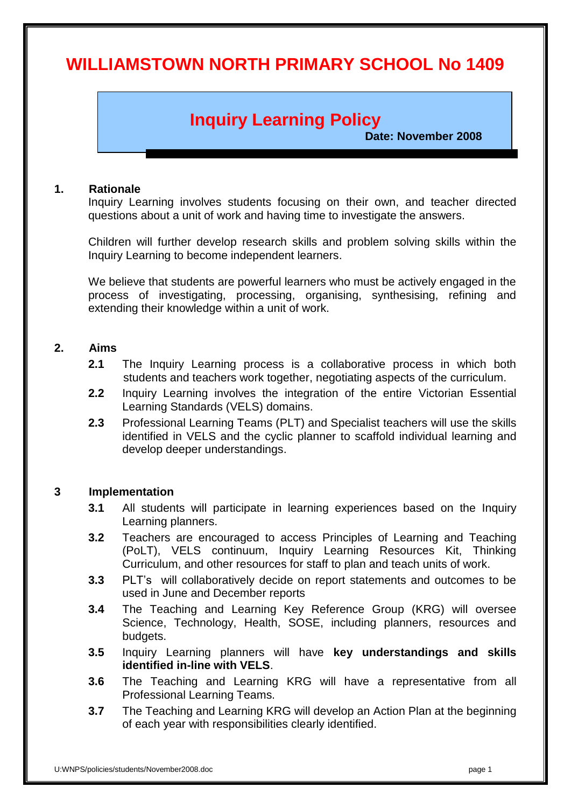# **WILLIAMSTOWN NORTH PRIMARY SCHOOL No 1409**

# **Inquiry Learning Policy**

 **Date: November 2008**

#### **1. Rationale**

Inquiry Learning involves students focusing on their own, and teacher directed questions about a unit of work and having time to investigate the answers.

Children will further develop research skills and problem solving skills within the Inquiry Learning to become independent learners.

We believe that students are powerful learners who must be actively engaged in the process of investigating, processing, organising, synthesising, refining and extending their knowledge within a unit of work.

#### **2. Aims**

- **2.1** The Inquiry Learning process is a collaborative process in which both students and teachers work together, negotiating aspects of the curriculum.
- **2.2** Inquiry Learning involves the integration of the entire Victorian Essential Learning Standards (VELS) domains.
- **2.3** Professional Learning Teams (PLT) and Specialist teachers will use the skills identified in VELS and the cyclic planner to scaffold individual learning and develop deeper understandings.

## **3 Implementation**

- **3.1** All students will participate in learning experiences based on the Inquiry Learning planners.
- **3.2** Teachers are encouraged to access Principles of Learning and Teaching (PoLT), VELS continuum, Inquiry Learning Resources Kit, Thinking Curriculum, and other resources for staff to plan and teach units of work.
- **3.3** PLT's will collaboratively decide on report statements and outcomes to be used in June and December reports
- **3.4** The Teaching and Learning Key Reference Group (KRG) will oversee Science, Technology, Health, SOSE, including planners, resources and budgets.
- **3.5** Inquiry Learning planners will have **key understandings and skills identified in-line with VELS**.
- **3.6** The Teaching and Learning KRG will have a representative from all Professional Learning Teams.
- **3.7** The Teaching and Learning KRG will develop an Action Plan at the beginning of each year with responsibilities clearly identified.